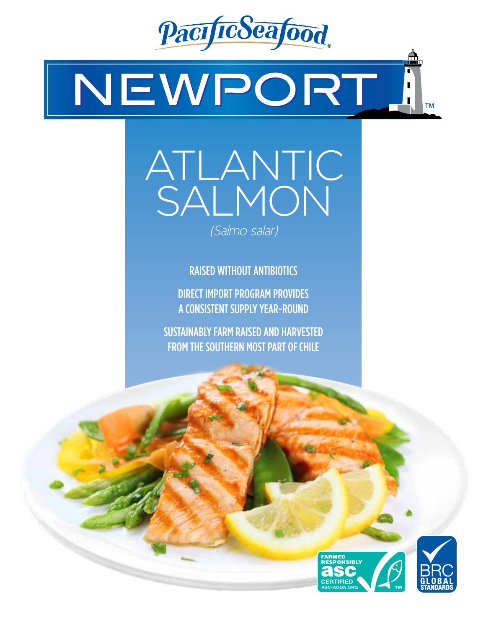

# NEWPORT **TM**

# ATLANTIC SALMON

*(Salmo salar)*

RAISED WITHOUT ANTIBIOTICS

DIRECT IMPORT PROGRAM PROVIDES A CONSISTENT SUPPLY YEAR-ROUND

SUSTAINABLY FARM RAISED AND HARVESTED FROM THE SOUTHERN MOST PART OF CHILE